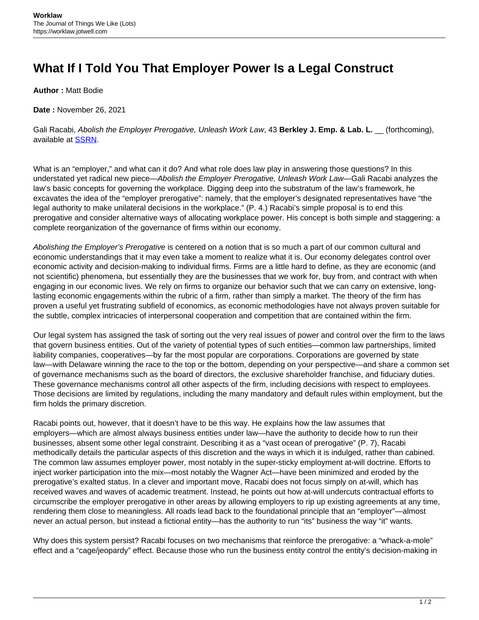## **What If I Told You That Employer Power Is a Legal Construct**

**Author :** Matt Bodie

**Date :** November 26, 2021

Gali Racabi, Abolish the Employer Prerogative, Unleash Work Law, 43 Berkley J. Emp. & Lab. L. \_\_ (forthcoming), available at [SSRN.](https://papers.ssrn.com/sol3/papers.cfm?abstract_id=3800910#)

What is an "employer," and what can it do? And what role does law play in answering those questions? In this understated yet radical new piece—Abolish the Employer Prerogative, Unleash Work Law—Gali Racabi analyzes the law's basic concepts for governing the workplace. Digging deep into the substratum of the law's framework, he excavates the idea of the "employer prerogative": namely, that the employer's designated representatives have "the legal authority to make unilateral decisions in the workplace." (P. 4.) Racabi's simple proposal is to end this prerogative and consider alternative ways of allocating workplace power. His concept is both simple and staggering: a complete reorganization of the governance of firms within our economy.

Abolishing the Employer's Prerogative is centered on a notion that is so much a part of our common cultural and economic understandings that it may even take a moment to realize what it is. Our economy delegates control over economic activity and decision-making to individual firms. Firms are a little hard to define, as they are economic (and not scientific) phenomena, but essentially they are the businesses that we work for, buy from, and contract with when engaging in our economic lives. We rely on firms to organize our behavior such that we can carry on extensive, longlasting economic engagements within the rubric of a firm, rather than simply a market. The theory of the firm has proven a useful yet frustrating subfield of economics, as economic methodologies have not always proven suitable for the subtle, complex intricacies of interpersonal cooperation and competition that are contained within the firm.

Our legal system has assigned the task of sorting out the very real issues of power and control over the firm to the laws that govern business entities. Out of the variety of potential types of such entities—common law partnerships, limited liability companies, cooperatives—by far the most popular are corporations. Corporations are governed by state law—with Delaware winning the race to the top or the bottom, depending on your perspective—and share a common set of governance mechanisms such as the board of directors, the exclusive shareholder franchise, and fiduciary duties. These governance mechanisms control all other aspects of the firm, including decisions with respect to employees. Those decisions are limited by regulations, including the many mandatory and default rules within employment, but the firm holds the primary discretion.

Racabi points out, however, that it doesn't have to be this way. He explains how the law assumes that employers—which are almost always business entities under law—have the authority to decide how to run their businesses, absent some other legal constraint. Describing it as a "vast ocean of prerogative" (P. 7), Racabi methodically details the particular aspects of this discretion and the ways in which it is indulged, rather than cabined. The common law assumes employer power, most notably in the super-sticky employment at-will doctrine. Efforts to inject worker participation into the mix—most notably the Wagner Act—have been minimized and eroded by the prerogative's exalted status. In a clever and important move, Racabi does not focus simply on at-will, which has received waves and waves of academic treatment. Instead, he points out how at-will undercuts contractual efforts to circumscribe the employer prerogative in other areas by allowing employers to rip up existing agreements at any time, rendering them close to meaningless. All roads lead back to the foundational principle that an "employer"—almost never an actual person, but instead a fictional entity—has the authority to run "its" business the way "it" wants.

Why does this system persist? Racabi focuses on two mechanisms that reinforce the prerogative: a "whack-a-mole" effect and a "cage/jeopardy" effect. Because those who run the business entity control the entity's decision-making in